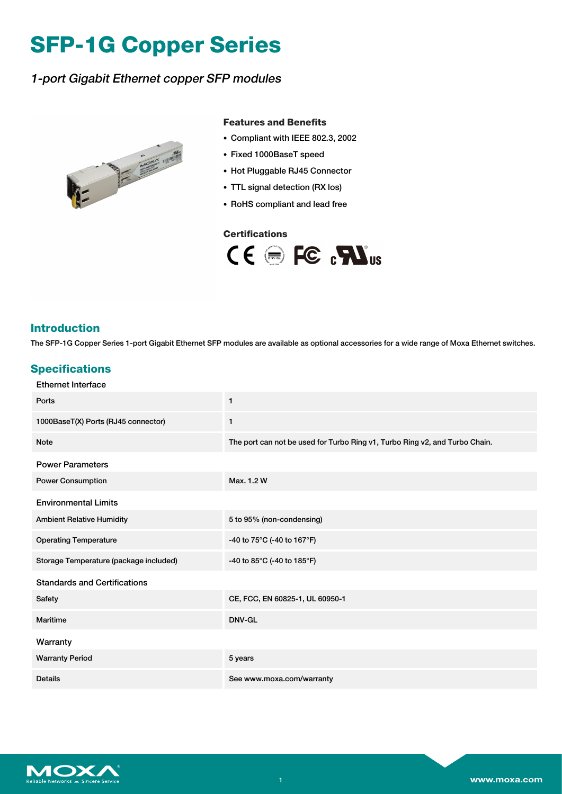# **SFP-1G Copper Series**

## 1-port Gigabit Ethernet copper SFP modules



#### **Features and Benefits**

- Compliant with IEEE 802.3, 2002
- Fixed 1000BaseT speed
- Hot Pluggable RJ45 Connector
- TTL signal detection (RX los)
- RoHS compliant and lead free

#### **Certifications**



#### **Introduction**

The SFP-1G Copper Series 1-port Gigabit Ethernet SFP modules are available as optional accessories for a wide range of Moxa Ethernet switches.

#### **Specifications**

| <b>Ethernet Interface</b>              |                                                                             |
|----------------------------------------|-----------------------------------------------------------------------------|
| Ports                                  | $\mathbf{1}$                                                                |
| 1000BaseT(X) Ports (RJ45 connector)    | $\mathbf{1}$                                                                |
| <b>Note</b>                            | The port can not be used for Turbo Ring v1, Turbo Ring v2, and Turbo Chain. |
| <b>Power Parameters</b>                |                                                                             |
| <b>Power Consumption</b>               | Max. 1.2 W                                                                  |
| <b>Environmental Limits</b>            |                                                                             |
| <b>Ambient Relative Humidity</b>       | 5 to 95% (non-condensing)                                                   |
| <b>Operating Temperature</b>           | -40 to 75°C (-40 to 167°F)                                                  |
| Storage Temperature (package included) | -40 to 85°C (-40 to 185°F)                                                  |
| <b>Standards and Certifications</b>    |                                                                             |
| Safety                                 | CE, FCC, EN 60825-1, UL 60950-1                                             |
| Maritime                               | DNV-GL                                                                      |
| Warranty                               |                                                                             |
| <b>Warranty Period</b>                 | 5 years                                                                     |
| <b>Details</b>                         | See www.moxa.com/warranty                                                   |